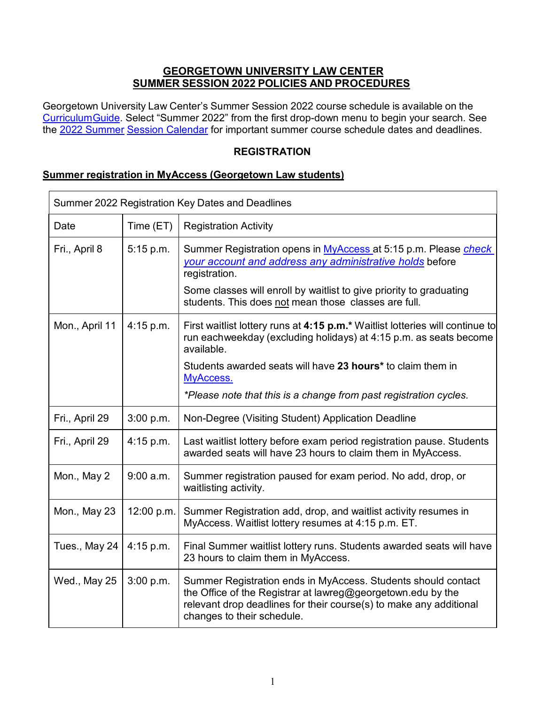# **GEORGETOWN UNIVERSITY LAW CENTER SUMMER SESSION 2022 POLICIES AND PROCEDURES**

Georgetown University Law Center's Summer Session 2022 course schedule is available on the [CurriculumGuide. S](https://curriculum.law.georgetown.edu/course-search/)elect "Summer 2022" from the first drop-down menu to begin your search. See the [2022 Summer](https://www.law.georgetown.edu/academics/academic-resources/registrar/academic-calendars/) [Session Calendar](https://www.law.georgetown.edu/academics/academic-resources/registrar/academic-calendars/) for important summer course schedule dates and deadlines.

## **REGISTRATION**

#### **Summer registration in MyAccess (Georgetown Law students)**

| Summer 2022 Registration Key Dates and Deadlines |            |                                                                                                                                                                                                                                  |  |  |
|--------------------------------------------------|------------|----------------------------------------------------------------------------------------------------------------------------------------------------------------------------------------------------------------------------------|--|--|
| Date                                             | Time (ET)  | <b>Registration Activity</b>                                                                                                                                                                                                     |  |  |
| Fri., April 8                                    | 5:15 p.m.  | Summer Registration opens in MyAccess at 5:15 p.m. Please <i>check</i><br>your account and address any administrative holds before<br>registration.<br>Some classes will enroll by waitlist to give priority to graduating       |  |  |
|                                                  |            | students. This does not mean those classes are full.                                                                                                                                                                             |  |  |
| Mon., April 11                                   | 4:15 p.m.  | First waitlist lottery runs at 4:15 p.m.* Waitlist lotteries will continue to<br>run eachweekday (excluding holidays) at 4:15 p.m. as seats become<br>available.                                                                 |  |  |
|                                                  |            | Students awarded seats will have 23 hours* to claim them in<br>MyAccess.                                                                                                                                                         |  |  |
|                                                  |            | *Please note that this is a change from past registration cycles.                                                                                                                                                                |  |  |
| Fri., April 29                                   | 3:00 p.m.  | Non-Degree (Visiting Student) Application Deadline                                                                                                                                                                               |  |  |
| Fri., April 29                                   | 4:15 p.m.  | Last waitlist lottery before exam period registration pause. Students<br>awarded seats will have 23 hours to claim them in MyAccess.                                                                                             |  |  |
| Mon., May 2                                      | 9:00 a.m.  | Summer registration paused for exam period. No add, drop, or<br>waitlisting activity.                                                                                                                                            |  |  |
| Mon., May 23                                     | 12:00 p.m. | Summer Registration add, drop, and waitlist activity resumes in<br>MyAccess. Waitlist lottery resumes at 4:15 p.m. ET.                                                                                                           |  |  |
| Tues., May 24                                    | 4:15 p.m.  | Final Summer waitlist lottery runs. Students awarded seats will have<br>23 hours to claim them in MyAccess.                                                                                                                      |  |  |
| Wed., May 25                                     | 3:00 p.m.  | Summer Registration ends in MyAccess. Students should contact<br>the Office of the Registrar at lawreg@georgetown.edu by the<br>relevant drop deadlines for their course(s) to make any additional<br>changes to their schedule. |  |  |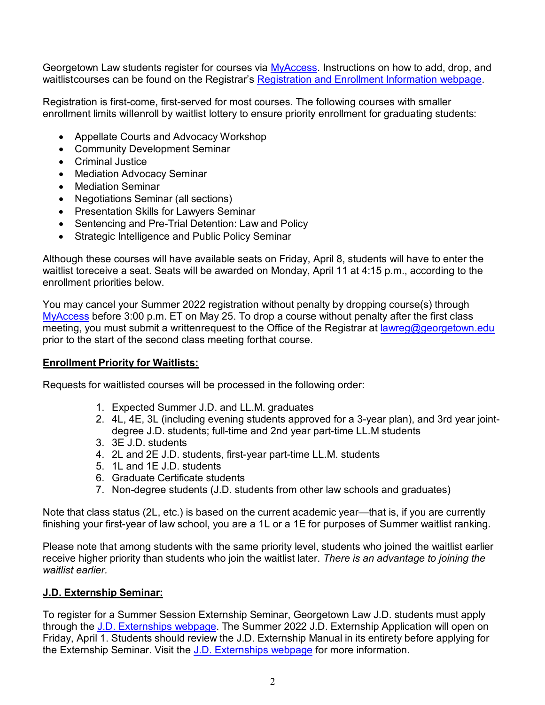Georgetown Law students register for courses via [MyAccess.](http://myaccess.georgetown.edu/) Instructions on how to add, drop, and waitlistcourses can be found on the Registrar's [Registration](https://www.law.georgetown.edu/academics/academic-resources/registrar/course-registration/) and Enrollment Information webpage.

Registration is first-come, first-served for most courses. The following courses with smaller enrollment limits willenroll by waitlist lottery to ensure priority enrollment for graduating students:

- Appellate Courts and Advocacy Workshop
- Community Development Seminar
- Criminal Justice
- Mediation [Advocacy](https://curriculum.law.georgetown.edu/course-search/?keyword=LAWJ%2B1447%2B00) Seminar
- [Mediation](https://curriculum.law.georgetown.edu/course-search/?keyword=LAWJ%2B322%2B50) Seminar
- [Negotiations](https://curriculum.law.georgetown.edu/course-search/?keyword=LAWJ%2B317) Seminar (all sections)
- Presentation Skills for Lawyers Seminar
- [Sentencing](https://curriculum.law.georgetown.edu/course-search/?keyword=LAWJ%2B1085%2B01) and Pre-Trial Detention: Law and Policy
- Strategic Intelligence and Public Policy Seminar

Although these courses will have available seats on Friday, April 8, students will have to enter the waitlist toreceive a seat. Seats will be awarded on Monday, April 11 at 4:15 p.m., according to the enrollment priorities below.

You may cancel your Summer 2022 registration without penalty by dropping course(s) through [MyAccess](http://myaccess.georgetown.edu/) before 3:00 p.m. ET on May 25. To drop a course without penalty after the first class meeting, you must submit a writtenrequest to the Office of the Registrar at [lawreg@georgetown.edu](mailto:lawreg@georgetown.edu) prior to the start of the second class meeting forthat course.

#### **Enrollment Priority for Waitlists:**

Requests for waitlisted courses will be processed in the following order:

- 1. Expected Summer J.D. and LL.M. graduates
- 2. 4L, 4E, 3L (including evening students approved for a 3-year plan), and 3rd year jointdegree J.D. students; full-time and 2nd year part-time LL.M students
- 3. 3E J.D. students
- 4. 2L and 2E J.D. students, first-year part-time LL.M. students
- 5. 1L and 1E J.D. students
- 6. Graduate Certificate students
- 7. Non-degree students (J.D. students from other law schools and graduates)

Note that class status (2L, etc.) is based on the current academic year—that is, if you are currently finishing your first-year of law school, you are a 1L or a 1E for purposes of Summer waitlist ranking.

Please note that among students with the same priority level, students who joined the waitlist earlier receive higher priority than students who join the waitlist later. *There is an advantage to joining the waitlist earlier.*

#### **J.D. Externship Seminar:**

To register for a Summer Session Externship Seminar, Georgetown Law J.D. students must apply through the J.D. [Externships](https://www.law.georgetown.edu/experiential-learning/externships/for-j-d-students/) webpage. The Summer 2022 J.D. Externship Application will open on Friday, April 1. Students should review the J.D. Externship Manual in its entirety before applying for the Externship Seminar. Visit the J.D. [Externships](https://www.law.georgetown.edu/experiential-learning/externships/for-j-d-students/) webpage for more information.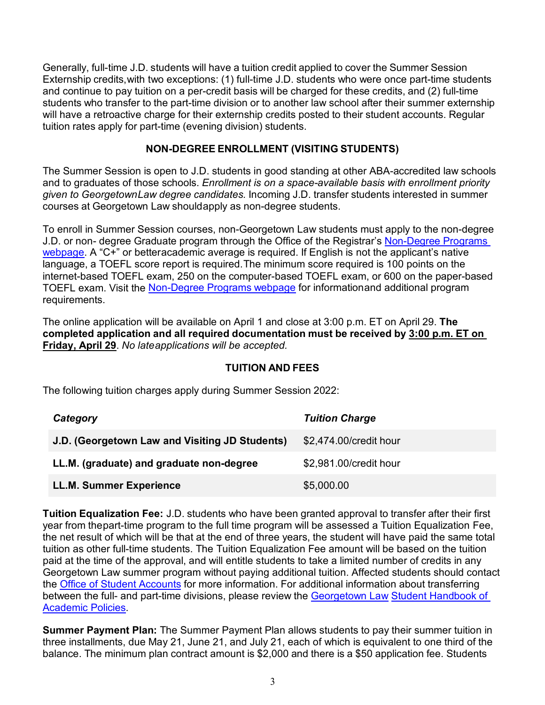Generally, full-time J.D. students will have a tuition credit applied to cover the Summer Session Externship credits,with two exceptions: (1) full-time J.D. students who were once part-time students and continue to pay tuition on a per-credit basis will be charged for these credits, and (2) full-time students who transfer to the part-time division or to another law school after their summer externship will have a retroactive charge for their externship credits posted to their student accounts. Regular tuition rates apply for part-time (evening division) students.

## **NON-DEGREE ENROLLMENT (VISITING STUDENTS)**

The Summer Session is open to J.D. students in good standing at other ABA-accredited law schools and to graduates of those schools. *Enrollment is on a space-available basis with enrollment priority given to GeorgetownLaw degree candidates.* Incoming J.D. transfer students interested in summer courses at Georgetown Law shouldapply as non-degree students.

To enroll in Summer Session courses, non-Georgetown Law students must apply to the non-degree J.D. or non- degree Graduate program through the Office of the Registrar's [Non-Degree](https://www.law.georgetown.edu/academics/academic-resources/registrar/course-registration/non-degree-programs/) Programs [webpage.](https://www.law.georgetown.edu/academics/academic-resources/registrar/course-registration/non-degree-programs/) A "C+" or betteracademic average is required. If English is not the applicant's native language, a TOEFL score report is required.The minimum score required is 100 points on the internet-based TOEFL exam, 250 on the computer-based TOEFL exam, or 600 on the paper-based TOEFL exam. Visit the [Non-Degree](https://www.law.georgetown.edu/academics/academic-resources/registrar/course-registration/non-degree-programs/) Programs webpage for informationand additional program requirements.

The online application will be available on April 1 and close at 3:00 p.m. ET on April 29. **The completed application and all required documentation must be received by 3:00 p.m. ET on Friday, April 29**. *No lateapplications will be accepted.*

#### **TUITION AND FEES**

The following tuition charges apply during Summer Session 2022:

| Category                                       | <b>Tuition Charge</b>  |
|------------------------------------------------|------------------------|
| J.D. (Georgetown Law and Visiting JD Students) | \$2,474.00/credit hour |
| LL.M. (graduate) and graduate non-degree       | \$2,981.00/credit hour |
| <b>LL.M. Summer Experience</b>                 | \$5,000.00             |

**Tuition Equalization Fee:** J.D. students who have been granted approval to transfer after their first year from thepart-time program to the full time program will be assessed a Tuition Equalization Fee, the net result of which will be that at the end of three years, the student will have paid the same total tuition as other full-time students. The Tuition Equalization Fee amount will be based on the tuition paid at the time of the approval, and will entitle students to take a limited number of credits in any Georgetown Law summer program without paying additional tuition. Affected students should contact the Office of Student [Accounts](https://www.law.georgetown.edu/your-life-career/campus-services/student-accounts/) for more information. For additional information about transferring between the full- and part-time divisions, please review the [Georgetown](https://www.law.georgetown.edu/academics/academic-resources/registrar/student-handbook/) Law Student [Handbook](https://www.law.georgetown.edu/academics/academic-resources/registrar/student-handbook/) of [Academic](https://www.law.georgetown.edu/academics/academic-resources/registrar/student-handbook/) Policies.

**Summer Payment Plan:** The Summer Payment Plan allows students to pay their summer tuition in three installments, due May 21, June 21, and July 21, each of which is equivalent to one third of the balance. The minimum plan contract amount is \$2,000 and there is a \$50 application fee. Students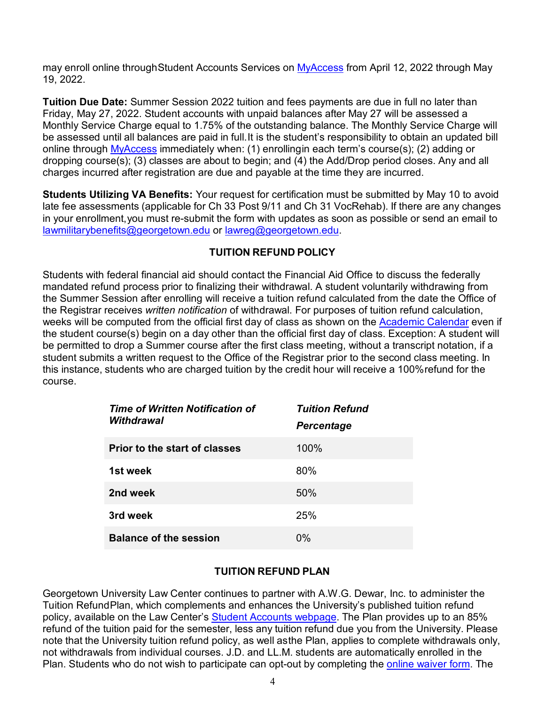may enroll online throughStudent Accounts Services on [MyAccess](https://myaccess.georgetown.edu/) from April 12, 2022 through May 19, 2022.

**Tuition Due Date:** Summer Session 2022 tuition and fees payments are due in full no later than Friday, May 27, 2022. Student accounts with unpaid balances after May 27 will be assessed a Monthly Service Charge equal to 1.75% of the outstanding balance. The Monthly Service Charge will be assessed until all balances are paid in full.It is the student's responsibility to obtain an updated bill online through [MyAccess](https://myaccess.georgetown.edu/) immediately when: (1) enrollingin each term's course(s); (2) adding or dropping course(s); (3) classes are about to begin; and (4) the Add/Drop period closes. Any and all charges incurred after registration are due and payable at the time they are incurred.

**Students Utilizing VA Benefits:** Your request for certification must be submitted by May 10 to avoid late fee assessments (applicable for Ch 33 Post 9/11 and Ch 31 VocRehab). If there are any changes in your enrollment,you must re-submit the form with updates as soon as possible or send an email to [lawmilitarybenefits@georgetown.edu](mailto:lawmilitarybenefits@georgetown.edu) or [lawreg@georgetown.edu.](mailto:lawreg@georgetown.edu)

#### **TUITION REFUND POLICY**

Students with federal financial aid should contact the Financial Aid Office to discuss the federally mandated refund process prior to finalizing their withdrawal. A student voluntarily withdrawing from the Summer Session after enrolling will receive a tuition refund calculated from the date the Office of the Registrar receives *written notification* of withdrawal. For purposes of tuition refund calculation, weeks will be computed from the official first day of class as shown on the [Academic](http://www.law.georgetown.edu/registrar/calendars.html) Calendar even if the student course(s) begin on a day other than the official first day of class. Exception: A student will be permitted to drop a Summer course after the first class meeting, without a transcript notation, if a student submits a written request to the Office of the Registrar prior to the second class meeting. In this instance, students who are charged tuition by the credit hour will receive a 100%refund for the course.

| <b>Time of Written Notification of</b><br>Withdrawal | <b>Tuition Refund</b><br><b>Percentage</b> |
|------------------------------------------------------|--------------------------------------------|
| <b>Prior to the start of classes</b>                 | 100%                                       |
| 1st week                                             | 80%                                        |
| 2nd week                                             | 50%                                        |
| 3rd week                                             | 25%                                        |
| <b>Balance of the session</b>                        | 0%                                         |

# **TUITION REFUND PLAN**

Georgetown University Law Center continues to partner with A.W.G. Dewar, Inc. to administer the Tuition RefundPlan, which complements and enhances the University's published tuition refund policy, available on the Law Center's Student Accounts [webpage.](https://www.law.georgetown.edu/your-life-career/campus-services/student-accounts/) The Plan provides up to an 85% refund of the tuition paid for the semester, less any tuition refund due you from the University. Please note that the University tuition refund policy, as well asthe Plan, applies to complete withdrawals only, not withdrawals from individual courses. J.D. and LL.M. students are automatically enrolled in the Plan. Students who do not wish to participate can opt-out by completing the online [waiver](http://tuitionprotection.com/glaw) form. The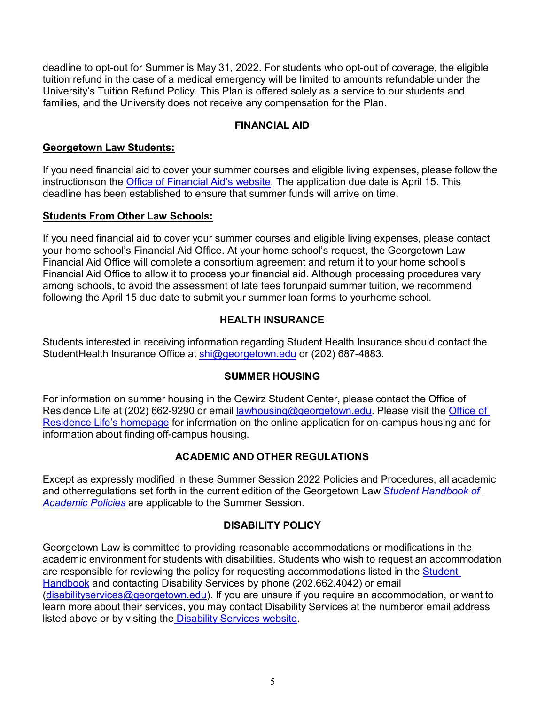deadline to opt-out for Summer is May 31, 2022. For students who opt-out of coverage, the eligible tuition refund in the case of a medical emergency will be limited to amounts refundable under the University's Tuition Refund Policy. This Plan is offered solely as a service to our students and families, and the University does not receive any compensation for the Plan.

## **FINANCIAL AID**

## **Georgetown Law Students:**

If you need financial aid to cover your summer courses and eligible living expenses, please follow the instructionson the Office of [Financial](https://www.law.georgetown.edu/admissions-aid/financial-aid/) Aid's website. The application due date is April 15. This deadline has been established to ensure that summer funds will arrive on time.

## **Students From Other Law Schools:**

If you need financial aid to cover your summer courses and eligible living expenses, please contact your home school's Financial Aid Office. At your home school's request, the Georgetown Law Financial Aid Office will complete a consortium agreement and return it to your home school's Financial Aid Office to allow it to process your financial aid. Although processing procedures vary among schools, to avoid the assessment of late fees forunpaid summer tuition, we recommend following the April 15 due date to submit your summer loan forms to yourhome school.

# **HEALTH INSURANCE**

Students interested in receiving information regarding Student Health Insurance should contact the StudentHealth Insurance Office at [shi@georgetown.edu](mailto:shi@georgetown.edu) or (202) 687-4883.

# **SUMMER HOUSING**

For information on summer housing in the Gewirz Student Center, please contact the Office of Residence Life at (202) 662-9290 or email [lawhousing@georgetown.edu.](mailto:lawhousing@georgetown.edu) Please visit the [Office](http://www.law.georgetown.edu/campus-life/housing-residence-life/summer-housing/index.cfm) of [Residence](http://www.law.georgetown.edu/campus-life/housing-residence-life/summer-housing/index.cfm) Life's homepage for information on the online application for on-campus housing and for information about finding off-campus housing.

# **ACADEMIC AND OTHER REGULATIONS**

Except as expressly modified in these Summer Session 2022 Policies and Procedures, all academic and otherregulations set forth in the current edition of the Georgetown Law *Student [Handbook](http://www.law.georgetown.edu/campus-services/registrar/handbook/index.cfm) of [Academic](http://www.law.georgetown.edu/campus-services/registrar/handbook/index.cfm) Policies* are applicable to the Summer Session.

# **DISABILITY POLICY**

Georgetown Law is committed to providing reasonable accommodations or modifications in the academic environment for students with disabilities. Students who wish to request an accommodation are responsible for reviewing the policy for requesting accommodations listed in the **[Student](http://www.law.georgetown.edu/campus-services/registrar/handbook/index.cfm)** [Handbook](http://www.law.georgetown.edu/campus-services/registrar/handbook/index.cfm) and contacting Disability Services by phone (202.662.4042) or email [\(disabilityservices@georgetown.edu\)](http://disabilityservices@georgetown.edu/). If you are unsure if you require an accommodation, or want to learn more about their services, you may contact Disability Services at the numberor email address listed above or by visiting the [Disability](https://www.law.georgetown.edu/your-life-career/campus-services/office-of-disability-services/) Services website.